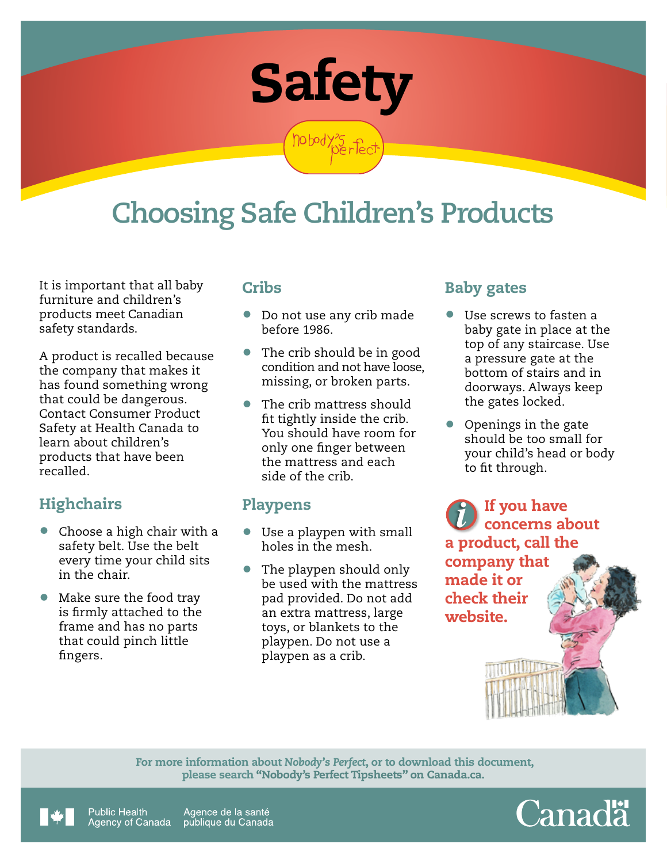

hobody35 fed

# **Choosing Safe Children's Products**

It is important that all baby furniture and children's products meet Canadian safety standards.

A product is recalled because the company that makes it has found something wrong that could be dangerous. Contact Consumer Product Safety at Health Canada to learn about children's products that have been recalled.

# **Highchairs**

- Choose a high chair with a safety belt. Use the belt every time your child sits in the chair.
- Make sure the food tray is firmly attached to the frame and has no parts that could pinch little fingers.

#### **Cribs**

- Do not use any crib made before 1986.
- The crib should be in good condition and not have loose, missing, or broken parts.
- The crib mattress should fit tightly inside the crib. You should have room for only one finger between the mattress and each side of the crib.

#### Playpens

- Use a playpen with small holes in the mesh.
- The playpen should only be used with the mattress pad provided. Do not add an extra mattress, large toys, or blankets to the playpen. Do not use a playpen as a crib.

## Baby gates

- Use screws to fasten a baby gate in place at the top of any staircase. Use a pressure gate at the bottom of stairs and in doorways. Always keep the gates locked.
- Openings in the gate should be too small for your child's head or body to fit through.

If you have concerns about a product, call the company that made it or check their website.

 For more information about *Nobody's Perfect*, or to download this document, please search "Nobody's Perfect Tipsheets" on Canada.ca.



Agence de la santé Public Health Agency of Canada publique du Canada